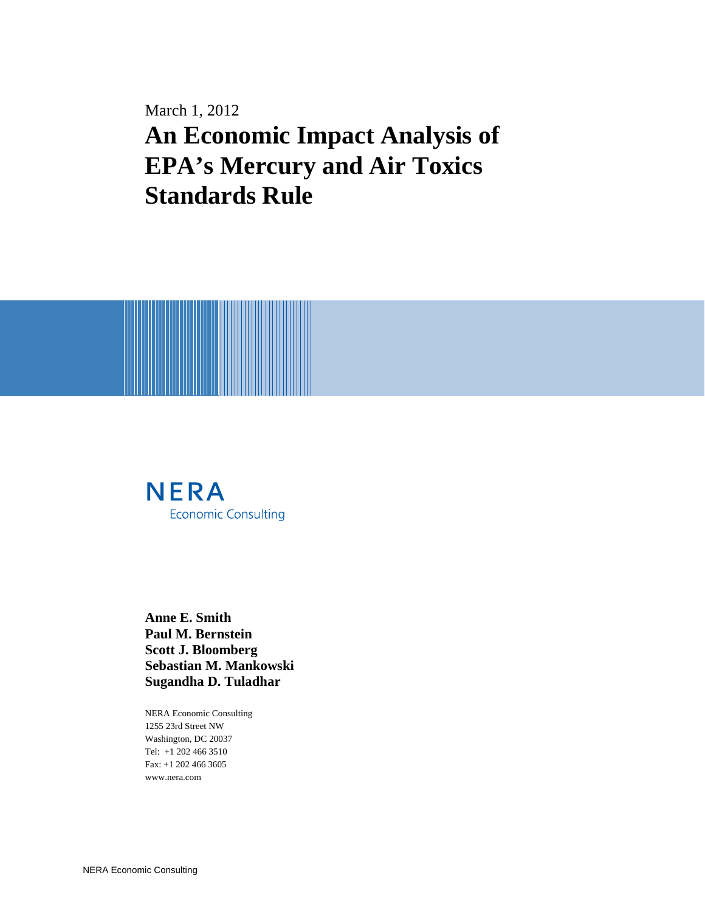March 1, 2012 **An Economic Impact Analysis of EPA's Mercury and Air Toxics Standards Rule**



**Anne E. Smith Paul M. Bernstein Scott J. Bloomberg Sebastian M. Mankowski Sugandha D. Tuladhar** 

NERA Economic Consulting 1255 23rd Street NW Washington, DC 20037 Tel: +1 202 466 3510 Fax: +1 202 466 3605 www.nera.com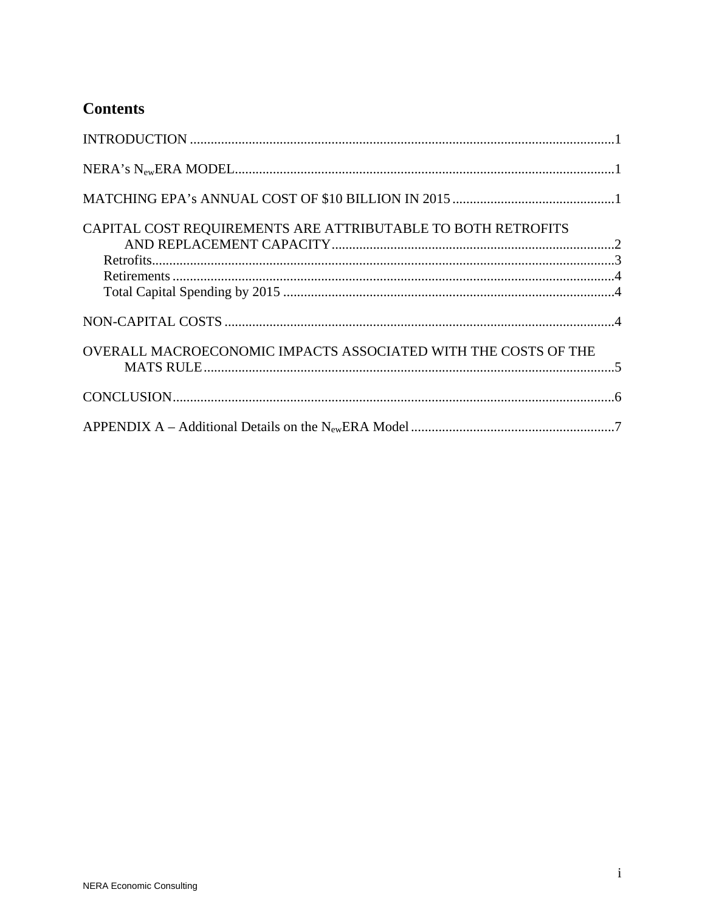### **Contents**

| CAPITAL COST REQUIREMENTS ARE ATTRIBUTABLE TO BOTH RETROFITS   |  |
|----------------------------------------------------------------|--|
|                                                                |  |
|                                                                |  |
|                                                                |  |
| OVERALL MACROECONOMIC IMPACTS ASSOCIATED WITH THE COSTS OF THE |  |
|                                                                |  |
|                                                                |  |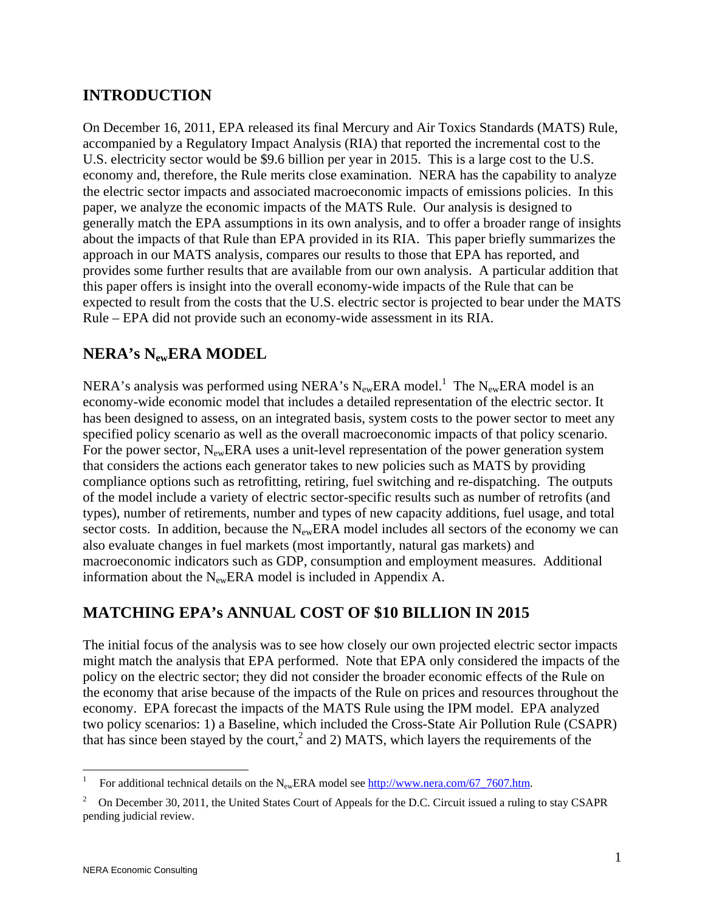## **INTRODUCTION**

On December 16, 2011, EPA released its final Mercury and Air Toxics Standards (MATS) Rule, accompanied by a Regulatory Impact Analysis (RIA) that reported the incremental cost to the U.S. electricity sector would be \$9.6 billion per year in 2015. This is a large cost to the U.S. economy and, therefore, the Rule merits close examination. NERA has the capability to analyze the electric sector impacts and associated macroeconomic impacts of emissions policies. In this paper, we analyze the economic impacts of the MATS Rule. Our analysis is designed to generally match the EPA assumptions in its own analysis, and to offer a broader range of insights about the impacts of that Rule than EPA provided in its RIA. This paper briefly summarizes the approach in our MATS analysis, compares our results to those that EPA has reported, and provides some further results that are available from our own analysis. A particular addition that this paper offers is insight into the overall economy-wide impacts of the Rule that can be expected to result from the costs that the U.S. electric sector is projected to bear under the MATS Rule – EPA did not provide such an economy-wide assessment in its RIA.

## **NERA's NewERA MODEL**

NERA's analysis was performed using NERA's  $N_{ew}$ ERA model.<sup>1</sup> The  $N_{ew}$ ERA model is an economy-wide economic model that includes a detailed representation of the electric sector. It has been designed to assess, on an integrated basis, system costs to the power sector to meet any specified policy scenario as well as the overall macroeconomic impacts of that policy scenario. For the power sector,  $N_{ew}ERA$  uses a unit-level representation of the power generation system that considers the actions each generator takes to new policies such as MATS by providing compliance options such as retrofitting, retiring, fuel switching and re-dispatching. The outputs of the model include a variety of electric sector-specific results such as number of retrofits (and types), number of retirements, number and types of new capacity additions, fuel usage, and total sector costs. In addition, because the  $N_{ew}ERA$  model includes all sectors of the economy we can also evaluate changes in fuel markets (most importantly, natural gas markets) and macroeconomic indicators such as GDP, consumption and employment measures. Additional information about the  $N_{ew}ERA$  model is included in Appendix A.

### **MATCHING EPA's ANNUAL COST OF \$10 BILLION IN 2015**

The initial focus of the analysis was to see how closely our own projected electric sector impacts might match the analysis that EPA performed. Note that EPA only considered the impacts of the policy on the electric sector; they did not consider the broader economic effects of the Rule on the economy that arise because of the impacts of the Rule on prices and resources throughout the economy. EPA forecast the impacts of the MATS Rule using the IPM model. EPA analyzed two policy scenarios: 1) a Baseline, which included the Cross-State Air Pollution Rule (CSAPR) that has since been stayed by the court,<sup>2</sup> and 2) MATS, which layers the requirements of the

 $\overline{a}$ 

<sup>1</sup> For additional technical details on the  $N_{ew}ERA$  model see http://www.nera.com/67\_7607.htm.

<sup>2</sup> On December 30, 2011, the United States Court of Appeals for the D.C. Circuit issued a ruling to stay CSAPR pending judicial review.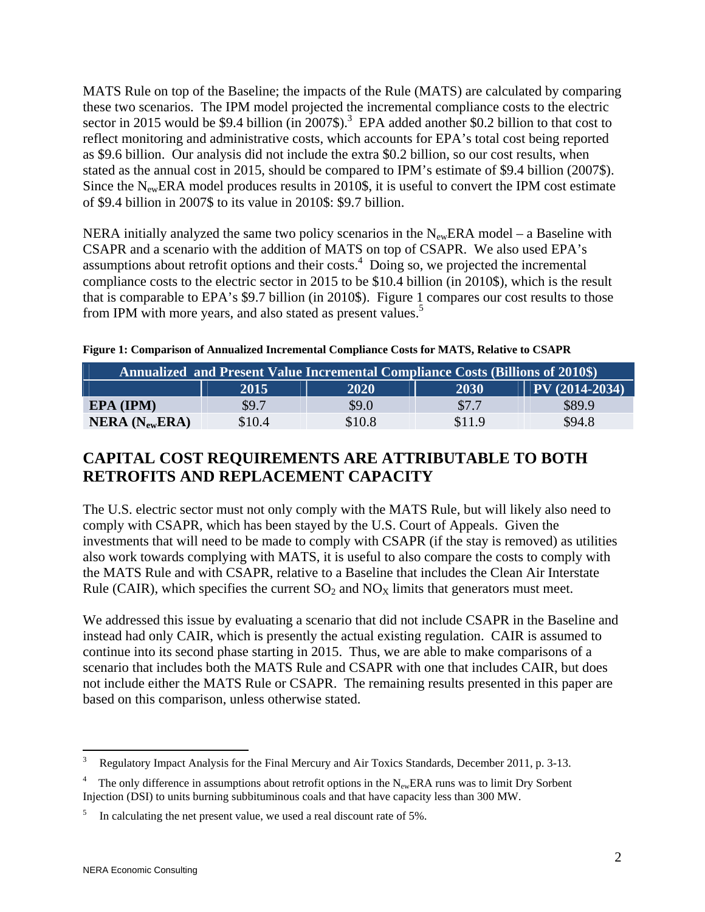MATS Rule on top of the Baseline; the impacts of the Rule (MATS) are calculated by comparing these two scenarios. The IPM model projected the incremental compliance costs to the electric sector in 2015 would be \$9.4 billion (in 2007\$).<sup>3</sup> EPA added another \$0.2 billion to that cost to reflect monitoring and administrative costs, which accounts for EPA's total cost being reported as \$9.6 billion. Our analysis did not include the extra \$0.2 billion, so our cost results, when stated as the annual cost in 2015, should be compared to IPM's estimate of \$9.4 billion (2007\$). Since the  $N_{ew}ERA$  model produces results in 2010\$, it is useful to convert the IPM cost estimate of \$9.4 billion in 2007\$ to its value in 2010\$: \$9.7 billion.

NERA initially analyzed the same two policy scenarios in the  $N_{ew}ERA$  model – a Baseline with CSAPR and a scenario with the addition of MATS on top of CSAPR. We also used EPA's assumptions about retrofit options and their costs. $4$  Doing so, we projected the incremental compliance costs to the electric sector in 2015 to be \$10.4 billion (in 2010\$), which is the result that is comparable to EPA's \$9.7 billion (in 2010\$). Figure 1 compares our cost results to those from IPM with more years, and also stated as present values.<sup>5</sup>

| <b>Annualized and Present Value Incremental Compliance Costs (Billions of 2010\$)</b> |        |        |        |        |  |  |  |  |
|---------------------------------------------------------------------------------------|--------|--------|--------|--------|--|--|--|--|
| $ PV(2014-2034) $<br>2030<br>2020<br>2015                                             |        |        |        |        |  |  |  |  |
| EPA (IPM)                                                                             | \$9.7  | \$9.0  | \$7.7  | \$89.9 |  |  |  |  |
| $NERA$ ( $N_{ew}ERA$ )                                                                | \$10.4 | \$10.8 | \$11.9 | \$94.8 |  |  |  |  |

**Figure 1: Comparison of Annualized Incremental Compliance Costs for MATS, Relative to CSAPR** 

# **CAPITAL COST REQUIREMENTS ARE ATTRIBUTABLE TO BOTH RETROFITS AND REPLACEMENT CAPACITY**

The U.S. electric sector must not only comply with the MATS Rule, but will likely also need to comply with CSAPR, which has been stayed by the U.S. Court of Appeals. Given the investments that will need to be made to comply with CSAPR (if the stay is removed) as utilities also work towards complying with MATS, it is useful to also compare the costs to comply with the MATS Rule and with CSAPR, relative to a Baseline that includes the Clean Air Interstate Rule (CAIR), which specifies the current  $SO_2$  and  $NO<sub>X</sub>$  limits that generators must meet.

We addressed this issue by evaluating a scenario that did not include CSAPR in the Baseline and instead had only CAIR, which is presently the actual existing regulation. CAIR is assumed to continue into its second phase starting in 2015. Thus, we are able to make comparisons of a scenario that includes both the MATS Rule and CSAPR with one that includes CAIR, but does not include either the MATS Rule or CSAPR. The remaining results presented in this paper are based on this comparison, unless otherwise stated.

 $\frac{1}{3}$ Regulatory Impact Analysis for the Final Mercury and Air Toxics Standards, December 2011, p. 3-13.

<sup>4</sup> The only difference in assumptions about retrofit options in the  $N_{ew}ERA$  runs was to limit Dry Sorbent Injection (DSI) to units burning subbituminous coals and that have capacity less than 300 MW.

<sup>5</sup> In calculating the net present value, we used a real discount rate of 5%.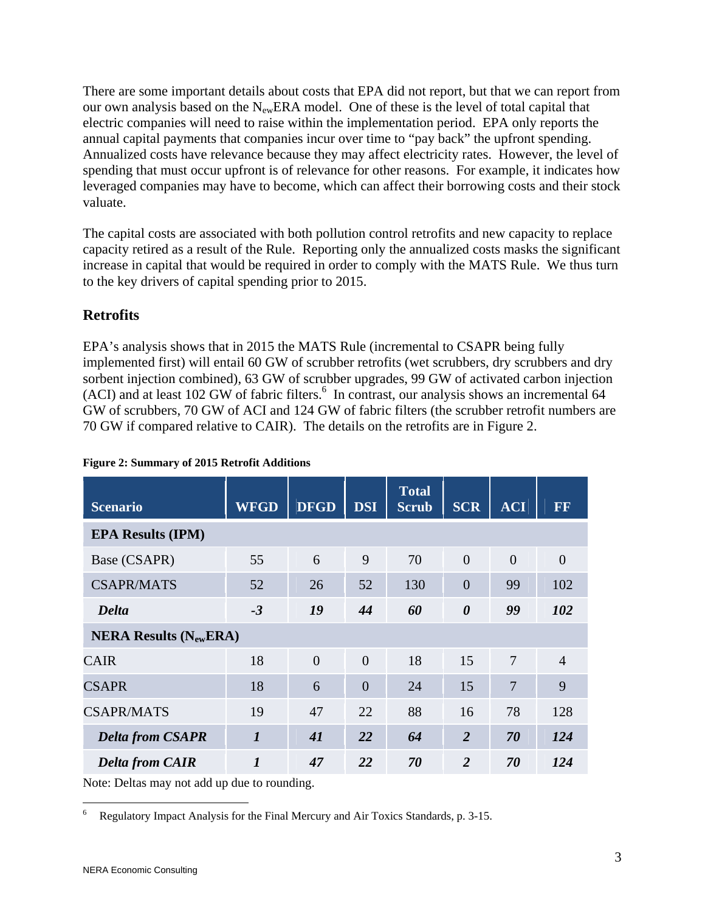There are some important details about costs that EPA did not report, but that we can report from our own analysis based on the  $N_{ew}ERA$  model. One of these is the level of total capital that electric companies will need to raise within the implementation period. EPA only reports the annual capital payments that companies incur over time to "pay back" the upfront spending. Annualized costs have relevance because they may affect electricity rates. However, the level of spending that must occur upfront is of relevance for other reasons. For example, it indicates how leveraged companies may have to become, which can affect their borrowing costs and their stock valuate.

The capital costs are associated with both pollution control retrofits and new capacity to replace capacity retired as a result of the Rule. Reporting only the annualized costs masks the significant increase in capital that would be required in order to comply with the MATS Rule. We thus turn to the key drivers of capital spending prior to 2015.

#### **Retrofits**

EPA's analysis shows that in 2015 the MATS Rule (incremental to CSAPR being fully implemented first) will entail 60 GW of scrubber retrofits (wet scrubbers, dry scrubbers and dry sorbent injection combined), 63 GW of scrubber upgrades, 99 GW of activated carbon injection  $(ACI)$  and at least 102 GW of fabric filters.<sup>6</sup> In contrast, our analysis shows an incremental 64 GW of scrubbers, 70 GW of ACI and 124 GW of fabric filters (the scrubber retrofit numbers are 70 GW if compared relative to CAIR). The details on the retrofits are in Figure 2.

| <b>Scenario</b>                              | <b>WFGD</b>      | <b>DFGD</b> | <b>DSI</b>     | <b>Total</b><br><b>Scrub</b> | <b>SCR</b>            | <b>ACI</b>     | FF             |  |  |
|----------------------------------------------|------------------|-------------|----------------|------------------------------|-----------------------|----------------|----------------|--|--|
| <b>EPA Results (IPM)</b>                     |                  |             |                |                              |                       |                |                |  |  |
| Base (CSAPR)                                 | 55               | 6           | 9              | 70                           | $\overline{0}$        | $\overline{0}$ | $\theta$       |  |  |
| <b>CSAPR/MATS</b>                            | 52               | 26          | 52             | 130                          | $\overline{0}$        | 99             | 102            |  |  |
| Delta                                        | $-3$             | 19          | 44             | 60                           | $\boldsymbol{\theta}$ | 99             | 102            |  |  |
| <b>NERA Results (<math>N_{ew}ERA</math>)</b> |                  |             |                |                              |                       |                |                |  |  |
| <b>CAIR</b>                                  | 18               | $\theta$    | $\theta$       | 18                           | 15                    | $\overline{7}$ | $\overline{4}$ |  |  |
| <b>CSAPR</b>                                 | 18               | 6           | $\overline{0}$ | 24                           | 15                    | 7              | 9              |  |  |
| <b>CSAPR/MATS</b>                            | 19               | 47          | 22             | 88                           | 16                    | 78             | 128            |  |  |
| <b>Delta from CSAPR</b>                      | $\boldsymbol{l}$ | 41          | 22             | 64                           | $\overline{2}$        | 70             | 124            |  |  |
| <b>Delta from CAIR</b>                       | $\boldsymbol{l}$ | 47          | 22             | 70                           | $\overline{2}$        | 70             | 124            |  |  |

#### **Figure 2: Summary of 2015 Retrofit Additions**

Note: Deltas may not add up due to rounding.

 $\frac{1}{6}$ Regulatory Impact Analysis for the Final Mercury and Air Toxics Standards, p. 3-15.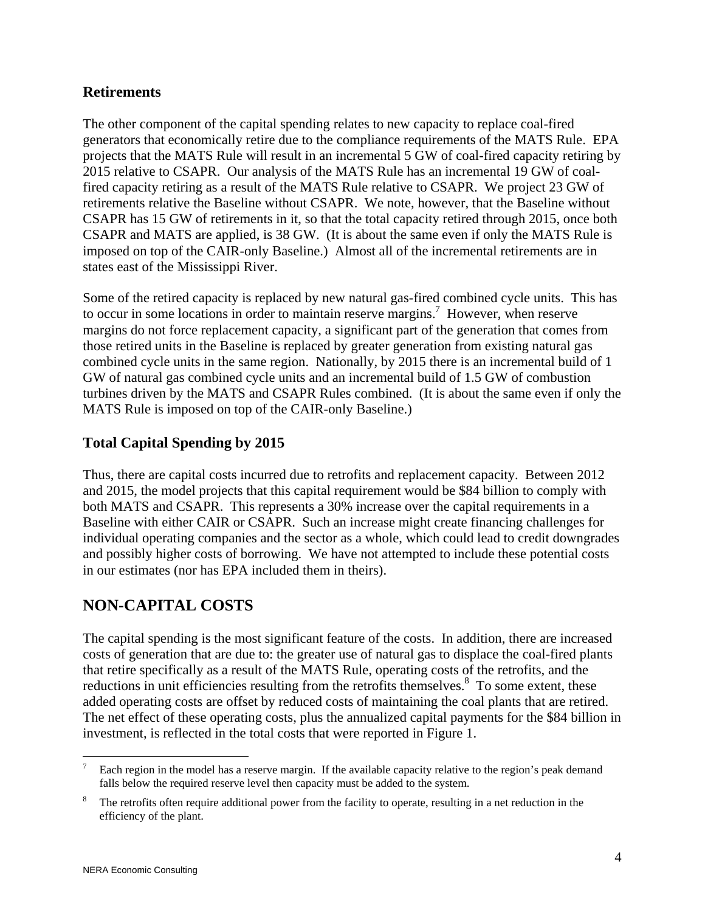#### **Retirements**

The other component of the capital spending relates to new capacity to replace coal-fired generators that economically retire due to the compliance requirements of the MATS Rule. EPA projects that the MATS Rule will result in an incremental 5 GW of coal-fired capacity retiring by 2015 relative to CSAPR. Our analysis of the MATS Rule has an incremental 19 GW of coalfired capacity retiring as a result of the MATS Rule relative to CSAPR. We project 23 GW of retirements relative the Baseline without CSAPR. We note, however, that the Baseline without CSAPR has 15 GW of retirements in it, so that the total capacity retired through 2015, once both CSAPR and MATS are applied, is 38 GW. (It is about the same even if only the MATS Rule is imposed on top of the CAIR-only Baseline.) Almost all of the incremental retirements are in states east of the Mississippi River.

Some of the retired capacity is replaced by new natural gas-fired combined cycle units. This has to occur in some locations in order to maintain reserve margins.<sup>7</sup> However, when reserve margins do not force replacement capacity, a significant part of the generation that comes from those retired units in the Baseline is replaced by greater generation from existing natural gas combined cycle units in the same region. Nationally, by 2015 there is an incremental build of 1 GW of natural gas combined cycle units and an incremental build of 1.5 GW of combustion turbines driven by the MATS and CSAPR Rules combined. (It is about the same even if only the MATS Rule is imposed on top of the CAIR-only Baseline.)

#### **Total Capital Spending by 2015**

Thus, there are capital costs incurred due to retrofits and replacement capacity. Between 2012 and 2015, the model projects that this capital requirement would be \$84 billion to comply with both MATS and CSAPR. This represents a 30% increase over the capital requirements in a Baseline with either CAIR or CSAPR. Such an increase might create financing challenges for individual operating companies and the sector as a whole, which could lead to credit downgrades and possibly higher costs of borrowing. We have not attempted to include these potential costs in our estimates (nor has EPA included them in theirs).

# **NON-CAPITAL COSTS**

The capital spending is the most significant feature of the costs. In addition, there are increased costs of generation that are due to: the greater use of natural gas to displace the coal-fired plants that retire specifically as a result of the MATS Rule, operating costs of the retrofits, and the reductions in unit efficiencies resulting from the retrofits themselves.<sup>8</sup> To some extent, these added operating costs are offset by reduced costs of maintaining the coal plants that are retired. The net effect of these operating costs, plus the annualized capital payments for the \$84 billion in investment, is reflected in the total costs that were reported in Figure 1.

 $\overline{a}$ 7 Each region in the model has a reserve margin. If the available capacity relative to the region's peak demand falls below the required reserve level then capacity must be added to the system.

<sup>8</sup> The retrofits often require additional power from the facility to operate, resulting in a net reduction in the efficiency of the plant.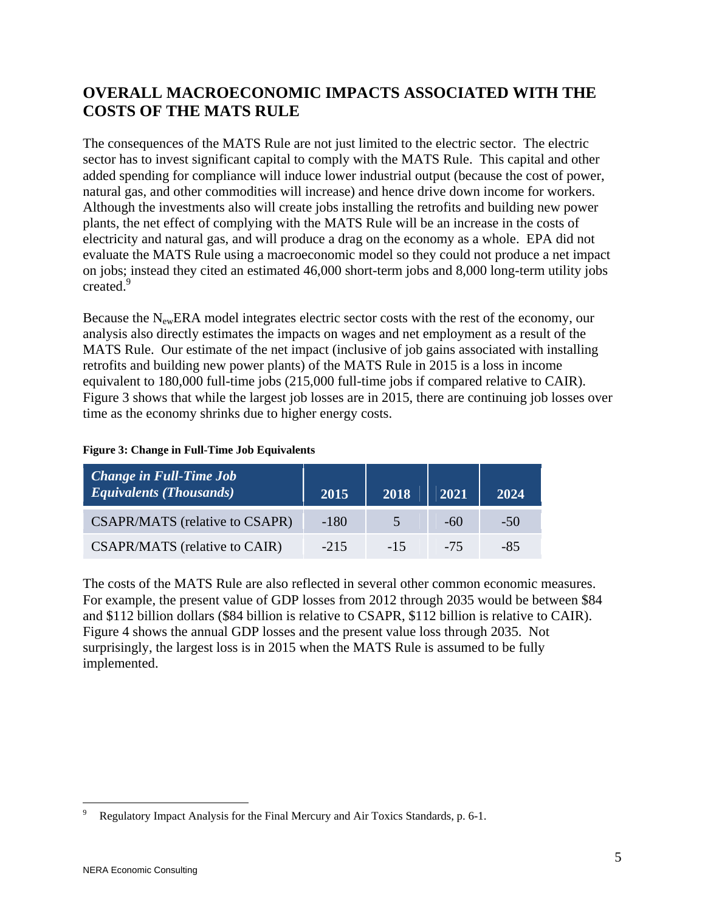# **OVERALL MACROECONOMIC IMPACTS ASSOCIATED WITH THE COSTS OF THE MATS RULE**

The consequences of the MATS Rule are not just limited to the electric sector. The electric sector has to invest significant capital to comply with the MATS Rule. This capital and other added spending for compliance will induce lower industrial output (because the cost of power, natural gas, and other commodities will increase) and hence drive down income for workers. Although the investments also will create jobs installing the retrofits and building new power plants, the net effect of complying with the MATS Rule will be an increase in the costs of electricity and natural gas, and will produce a drag on the economy as a whole. EPA did not evaluate the MATS Rule using a macroeconomic model so they could not produce a net impact on jobs; instead they cited an estimated 46,000 short-term jobs and 8,000 long-term utility jobs created.9

Because the  $N_{ew}ERA$  model integrates electric sector costs with the rest of the economy, our analysis also directly estimates the impacts on wages and net employment as a result of the MATS Rule. Our estimate of the net impact (inclusive of job gains associated with installing retrofits and building new power plants) of the MATS Rule in 2015 is a loss in income equivalent to 180,000 full-time jobs (215,000 full-time jobs if compared relative to CAIR). Figure 3 shows that while the largest job losses are in 2015, there are continuing job losses over time as the economy shrinks due to higher energy costs.

#### **Figure 3: Change in Full-Time Job Equivalents**

| <b>Change in Full-Time Job</b><br><i>Equivalents (Thousands)</i> | 2015   | 2018  | 2021   | 2024   |
|------------------------------------------------------------------|--------|-------|--------|--------|
| <b>CSAPR/MATS</b> (relative to CSAPR)                            | $-180$ |       | $-6()$ | $-5()$ |
| <b>CSAPR/MATS</b> (relative to CAIR)                             | $-215$ | $-15$ | $-75$  | -85    |

The costs of the MATS Rule are also reflected in several other common economic measures. For example, the present value of GDP losses from 2012 through 2035 would be between \$84 and \$112 billion dollars (\$84 billion is relative to CSAPR, \$112 billion is relative to CAIR). Figure 4 shows the annual GDP losses and the present value loss through 2035. Not surprisingly, the largest loss is in 2015 when the MATS Rule is assumed to be fully implemented.

 $\overline{a}$ 9 Regulatory Impact Analysis for the Final Mercury and Air Toxics Standards, p. 6-1.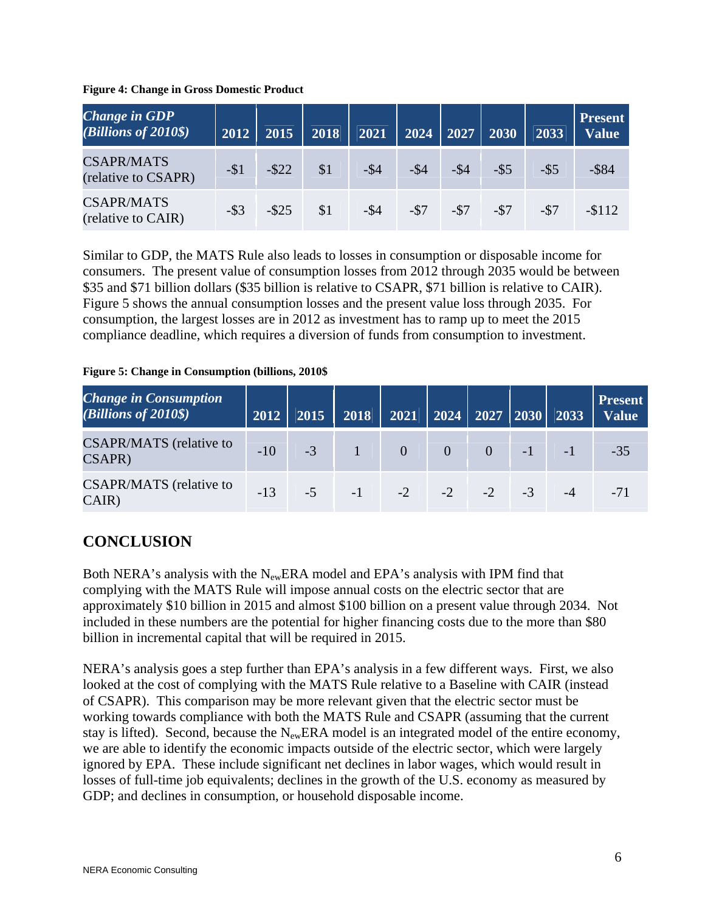|  |  | <b>Figure 4: Change in Gross Domestic Product</b> |  |
|--|--|---------------------------------------------------|--|
|  |  |                                                   |  |

| <b>Change in GDP</b><br>$(Billions of 2010\$ | 2012    | 2015     | 2018 | 2021    | $\sqrt{2024}$ $\sqrt{2027}$ $\sqrt{2030}$ |         |         | 2033    | <b>Present</b><br><b>Value</b> |
|----------------------------------------------|---------|----------|------|---------|-------------------------------------------|---------|---------|---------|--------------------------------|
| <b>CSAPR/MATS</b><br>(relative to CSAPR)     | $-\$1$  | $-$ \$22 | \$1  | $-$ \$4 | $-$ \$4                                   | $-$ \$4 | $-$ \$5 | $-$ \$5 | $-$ \$84                       |
| <b>CSAPR/MATS</b><br>(relative to CAIR)      | $-$ \$3 | $-$ \$25 | \$1  | $-$ \$4 | $-$ \$7                                   | $-$ \$7 | $-57$   | $-$ \$7 | $-112$                         |

Similar to GDP, the MATS Rule also leads to losses in consumption or disposable income for consumers. The present value of consumption losses from 2012 through 2035 would be between \$35 and \$71 billion dollars (\$35 billion is relative to CSAPR, \$71 billion is relative to CAIR). Figure 5 shows the annual consumption losses and the present value loss through 2035. For consumption, the largest losses are in 2012 as investment has to ramp up to meet the 2015 compliance deadline, which requires a diversion of funds from consumption to investment.

#### **Figure 5: Change in Consumption (billions, 2010\$**

| <b>Change in Consumption</b><br>(Billions of 2010\$) | 2012  | 2015 | 2018 | 2021           |                | $\vert$ 2024 $\vert$ 2027 $\vert$ 2030 $\vert$ 2033 |      | <b>Present</b><br><b>Value</b> |
|------------------------------------------------------|-------|------|------|----------------|----------------|-----------------------------------------------------|------|--------------------------------|
| CSAPR/MATS (relative to<br>CSAPR)                    | $-10$ | $-3$ |      | $\overline{0}$ | $\overline{0}$ | $\overline{0}$                                      | $-1$ | $-35$                          |
| <b>CSAPR/MATS</b> (relative to<br>CAIR)              | $-13$ | $-5$ | $-1$ | $-2$           | $-2$           | $-2$                                                |      | $-71$                          |

### **CONCLUSION**

Both NERA's analysis with the  $N_{ew}$ ERA model and EPA's analysis with IPM find that complying with the MATS Rule will impose annual costs on the electric sector that are approximately \$10 billion in 2015 and almost \$100 billion on a present value through 2034. Not included in these numbers are the potential for higher financing costs due to the more than \$80 billion in incremental capital that will be required in 2015.

NERA's analysis goes a step further than EPA's analysis in a few different ways. First, we also looked at the cost of complying with the MATS Rule relative to a Baseline with CAIR (instead of CSAPR). This comparison may be more relevant given that the electric sector must be working towards compliance with both the MATS Rule and CSAPR (assuming that the current stay is lifted). Second, because the  $N_{ew}ERA$  model is an integrated model of the entire economy, we are able to identify the economic impacts outside of the electric sector, which were largely ignored by EPA. These include significant net declines in labor wages, which would result in losses of full-time job equivalents; declines in the growth of the U.S. economy as measured by GDP; and declines in consumption, or household disposable income.